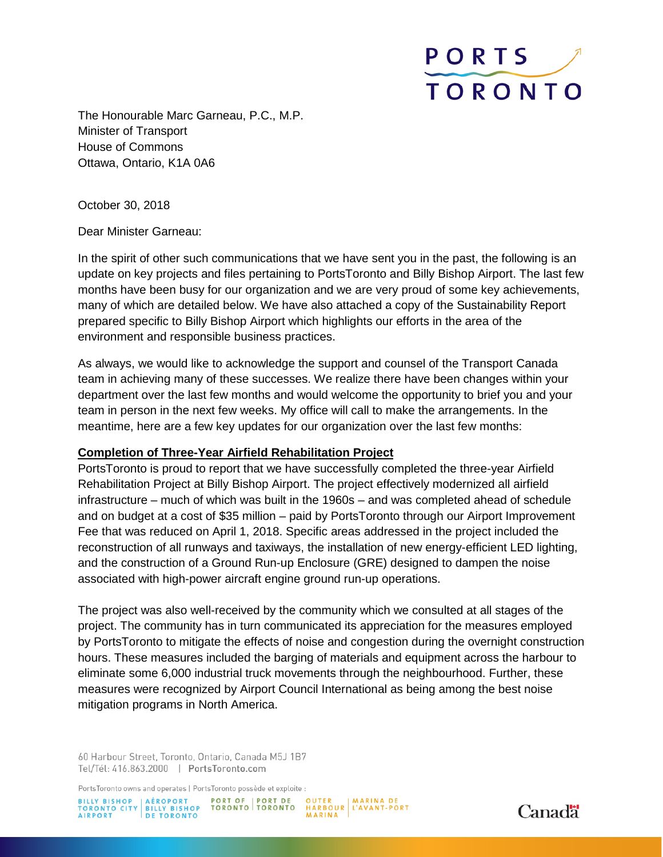# **PORTS TORONTO**

The Honourable Marc Garneau, P.C., M.P. Minister of Transport House of Commons Ottawa, Ontario, K1A 0A6

October 30, 2018

Dear Minister Garneau:

In the spirit of other such communications that we have sent you in the past, the following is an update on key projects and files pertaining to PortsToronto and Billy Bishop Airport. The last few months have been busy for our organization and we are very proud of some key achievements, many of which are detailed below. We have also attached a copy of the Sustainability Report prepared specific to Billy Bishop Airport which highlights our efforts in the area of the environment and responsible business practices.

As always, we would like to acknowledge the support and counsel of the Transport Canada team in achieving many of these successes. We realize there have been changes within your department over the last few months and would welcome the opportunity to brief you and your team in person in the next few weeks. My office will call to make the arrangements. In the meantime, here are a few key updates for our organization over the last few months:

## **Completion of Three-Year Airfield Rehabilitation Project**

PortsToronto is proud to report that we have successfully completed the three-year Airfield Rehabilitation Project at Billy Bishop Airport. The project effectively modernized all airfield infrastructure – much of which was built in the 1960s – and was completed ahead of schedule and on budget at a cost of \$35 million – paid by PortsToronto through our Airport Improvement Fee that was reduced on April 1, 2018. Specific areas addressed in the project included the reconstruction of all runways and taxiways, the installation of new energy-efficient LED lighting, and the construction of a Ground Run-up Enclosure (GRE) designed to dampen the noise associated with high-power aircraft engine ground run-up operations.

The project was also well-received by the community which we consulted at all stages of the project. The community has in turn communicated its appreciation for the measures employed by PortsToronto to mitigate the effects of noise and congestion during the overnight construction hours. These measures included the barging of materials and equipment across the harbour to eliminate some 6,000 industrial truck movements through the neighbourhood. Further, these measures were recognized by Airport Council International as being among the best noise mitigation programs in North America.

60 Harbour Street, Toronto, Ontario, Canada M5J 1B7 Tel/Tél: 416.863.2000 | PortsToronto.com

PortsToronto owns and operates | PortsToronto possède et exploite :

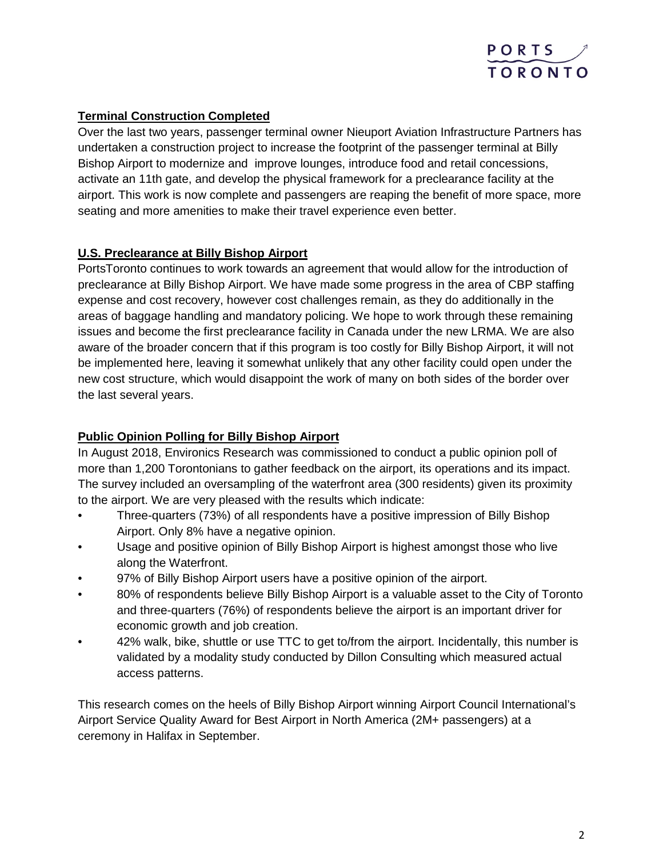

# **Terminal Construction Completed**

Over the last two years, passenger terminal owner Nieuport Aviation Infrastructure Partners has undertaken a construction project to increase the footprint of the passenger terminal at Billy Bishop Airport to modernize and improve lounges, introduce food and retail concessions, activate an 11th gate, and develop the physical framework for a preclearance facility at the airport. This work is now complete and passengers are reaping the benefit of more space, more seating and more amenities to make their travel experience even better.

# **U.S. Preclearance at Billy Bishop Airport**

PortsToronto continues to work towards an agreement that would allow for the introduction of preclearance at Billy Bishop Airport. We have made some progress in the area of CBP staffing expense and cost recovery, however cost challenges remain, as they do additionally in the areas of baggage handling and mandatory policing. We hope to work through these remaining issues and become the first preclearance facility in Canada under the new LRMA. We are also aware of the broader concern that if this program is too costly for Billy Bishop Airport, it will not be implemented here, leaving it somewhat unlikely that any other facility could open under the new cost structure, which would disappoint the work of many on both sides of the border over the last several years.

## **Public Opinion Polling for Billy Bishop Airport**

In August 2018, Environics Research was commissioned to conduct a public opinion poll of more than 1,200 Torontonians to gather feedback on the airport, its operations and its impact. The survey included an oversampling of the waterfront area (300 residents) given its proximity to the airport. We are very pleased with the results which indicate:

- Three-quarters (73%) of all respondents have a positive impression of Billy Bishop Airport. Only 8% have a negative opinion.
- Usage and positive opinion of Billy Bishop Airport is highest amongst those who live along the Waterfront.
- 97% of Billy Bishop Airport users have a positive opinion of the airport.
- 80% of respondents believe Billy Bishop Airport is a valuable asset to the City of Toronto and three-quarters (76%) of respondents believe the airport is an important driver for economic growth and job creation.
- 42% walk, bike, shuttle or use TTC to get to/from the airport. Incidentally, this number is validated by a modality study conducted by Dillon Consulting which measured actual access patterns.

This research comes on the heels of Billy Bishop Airport winning Airport Council International's Airport Service Quality Award for Best Airport in North America (2M+ passengers) at a ceremony in Halifax in September.